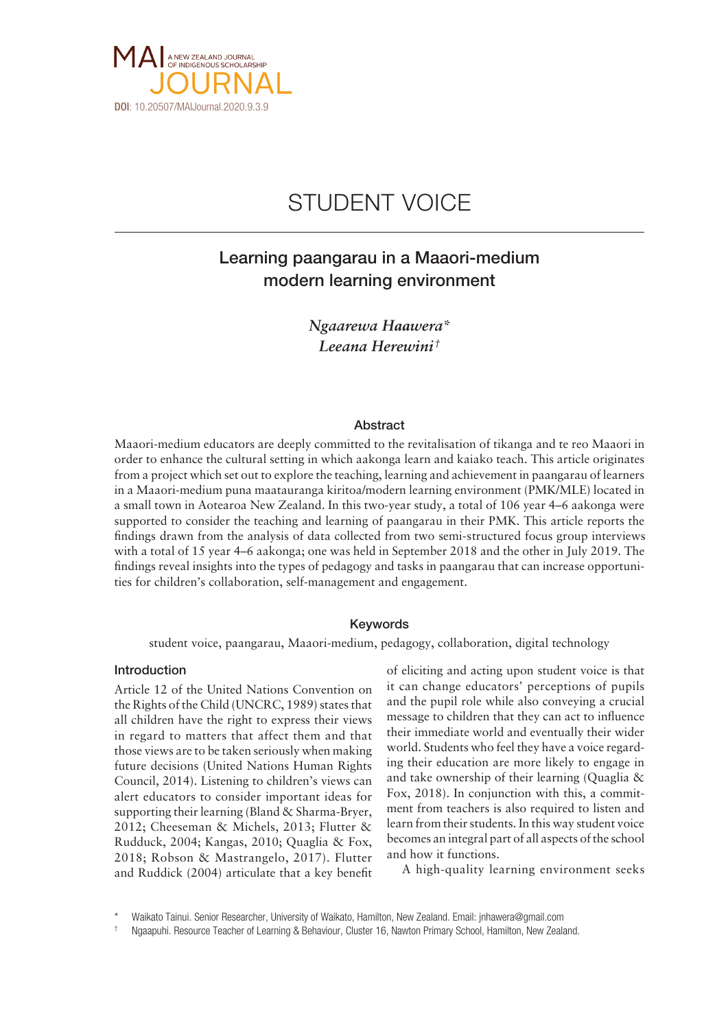

# STUDENT VOICE

## Learning paangarau in a Maaori-medium modern learning environment

*Ngaarewa Haawera\* Leeana Herewini †*

## **Abstract**

Maaori-medium educators are deeply committed to the revitalisation of tikanga and te reo Maaori in order to enhance the cultural setting in which aakonga learn and kaiako teach. This article originates from a project which set out to explore the teaching, learning and achievement in paangarau of learners in a Maaori- medium puna maatauranga kiritoa/modern learning environment (PMK/MLE) located in a small town in Aotearoa New Zealand. In this two- year study, a total of 106 year 4–6 aakonga were supported to consider the teaching and learning of paangarau in their PMK. This article reports the findings drawn from the analysis of data collected from two semi- structured focus group interviews with a total of 15 year 4–6 aakonga; one was held in September 2018 and the other in July 2019. The findings reveal insights into the types of pedagogy and tasks in paangarau that can increase opportunities for children's collaboration, self- management and engagement.

### Keywords

student voice, paangarau, Maaori- medium, pedagogy, collaboration, digital technology

## Introduction

Article 12 of the United Nations Convention on the Rights of the Child (UNCRC, 1989) states that all children have the right to express their views in regard to matters that affect them and that those views are to be taken seriously when making future decisions (United Nations Human Rights Council, 2014). Listening to children's views can alert educators to consider important ideas for supporting their learning (Bland & Sharma-Bryer, 2012; Cheeseman & Michels, 2013; Flutter & Rudduck, 2004; Kangas, 2010; Quaglia & Fox, 2018; Robson & Mastrangelo, 2017). Flutter and Ruddick (2004) articulate that a key benefit

of eliciting and acting upon student voice is that it can change educators' perceptions of pupils and the pupil role while also conveying a crucial message to children that they can act to influence their immediate world and eventually their wider world. Students who feel they have a voice regarding their education are more likely to engage in and take ownership of their learning (Quaglia & Fox, 2018). In conjunction with this, a commitment from teachers is also required to listen and learn from their students. In this way student voice becomes an integral part of all aspects of the school and how it functions.

A high-quality learning environment seeks

Waikato Tainui. Senior Researcher, University of Waikato, Hamilton, New Zealand. Email: [jnhawera@gmail.com](mailto:jnhawera@gmail.com)

Ngaapuhi. Resource Teacher of Learning & Behaviour, Cluster 16, Nawton Primary School, Hamilton, New Zealand.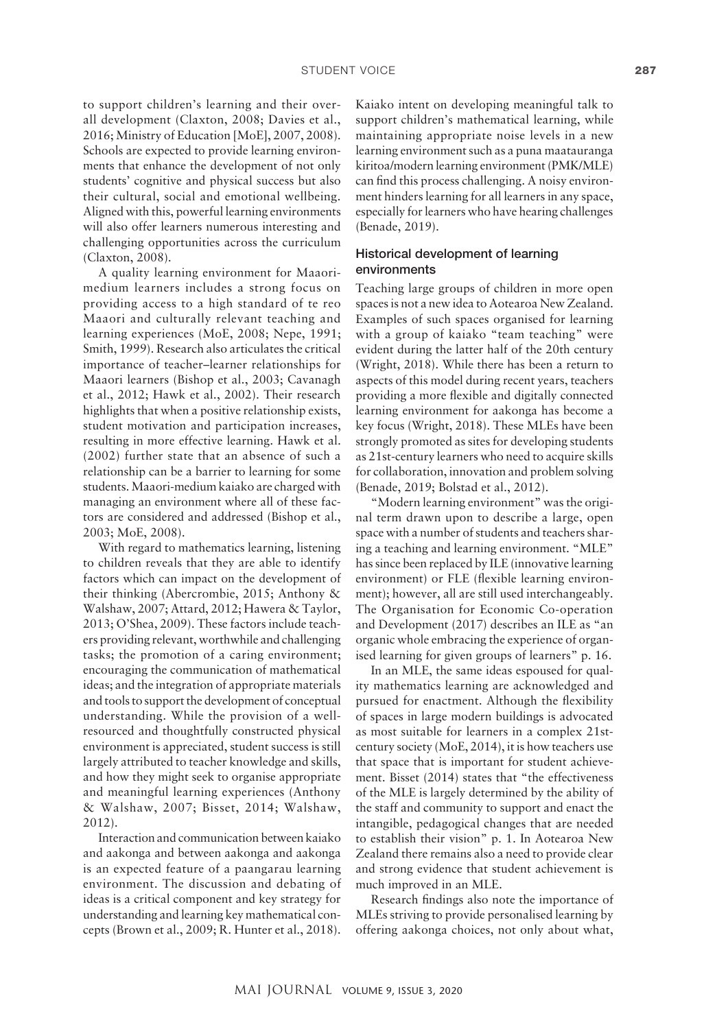to support children's learning and their overall development (Claxton, 2008; Davies et al., 2016; Ministry of Education [MoE], 2007, 2008). Schools are expected to provide learning environments that enhance the development of not only students' cognitive and physical success but also their cultural, social and emotional wellbeing. Aligned with this, powerful learning environments will also offer learners numerous interesting and challenging opportunities across the curriculum (Claxton, 2008).

A quality learning environment for Maaorimedium learners includes a strong focus on providing access to a high standard of te reo Maaori and culturally relevant teaching and learning experiences (MoE, 2008; Nepe, 1991; Smith, 1999). Research also articulates the critical importance of teacher–learner relationships for Maaori learners (Bishop et al., 2003; Cavanagh et al., 2012; Hawk et al., 2002). Their research highlights that when a positive relationship exists, student motivation and participation increases, resulting in more effective learning. Hawk et al. (2002) further state that an absence of such a relationship can be a barrier to learning for some students. Maaori-medium kaiako are charged with managing an environment where all of these factors are considered and addressed (Bishop et al., 2003; MoE, 2008).

With regard to mathematics learning, listening to children reveals that they are able to identify factors which can impact on the development of their thinking (Abercrombie, 2015; Anthony & Walshaw, 2007; Attard, 2012; Hawera & Taylor, 2013; O'Shea, 2009). These factors include teachers providing relevant, worthwhile and challenging tasks; the promotion of a caring environment; encouraging the communication of mathematical ideas; and the integration of appropriate materials and tools to support the development of conceptual understanding. While the provision of a wellresourced and thoughtfully constructed physical environment is appreciated, student success is still largely attributed to teacher knowledge and skills, and how they might seek to organise appropriate and meaningful learning experiences (Anthony & Walshaw, 2007; Bisset, 2014; Walshaw, 2012).

Interaction and communication between kaiako and aakonga and between aakonga and aakonga is an expected feature of a paangarau learning environment. The discussion and debating of ideas is a critical component and key strategy for understanding and learning key mathematical concepts (Brown et al., 2009; R. Hunter et al., 2018).

Kaiako intent on developing meaningful talk to support children's mathematical learning, while maintaining appropriate noise levels in a new learning environment such as a puna maatauranga kiritoa/modern learning environment (PMK/MLE) can find this process challenging. A noisy environment hinders learning for all learners in any space, especially for learners who have hearing challenges (Benade, 2019).

## Historical development of learning environments

Teaching large groups of children in more open spaces is not a new idea to Aotearoa New Zealand. Examples of such spaces organised for learning with a group of kaiako "team teaching" were evident during the latter half of the 20th century (Wright, 2018). While there has been a return to aspects of this model during recent years, teachers providing a more flexible and digitally connected learning environment for aakonga has become a key focus (Wright, 2018). These MLEs have been strongly promoted as sites for developing students as 21st-century learners who need to acquire skills for collaboration, innovation and problem solving (Benade, 2019; Bolstad et al., 2012).

"Modern learning environment" was the original term drawn upon to describe a large, open space with a number of students and teachers sharing a teaching and learning environment. "MLE" has since been replaced by ILE (innovative learning environment) or FLE (flexible learning environment); however, all are still used interchangeably. The Organisation for Economic Co-operation and Development (2017) describes an ILE as "an organic whole embracing the experience of organised learning for given groups of learners" p. 16.

In an MLE, the same ideas espoused for quality mathematics learning are acknowledged and pursued for enactment. Although the flexibility of spaces in large modern buildings is advocated as most suitable for learners in a complex 21stcentury society (MoE, 2014), it is how teachers use that space that is important for student achievement. Bisset (2014) states that "the effectiveness of the MLE is largely determined by the ability of the staff and community to support and enact the intangible, pedagogical changes that are needed to establish their vision" p. 1. In Aotearoa New Zealand there remains also a need to provide clear and strong evidence that student achievement is much improved in an MLE.

Research findings also note the importance of MLEs striving to provide personalised learning by offering aakonga choices, not only about what,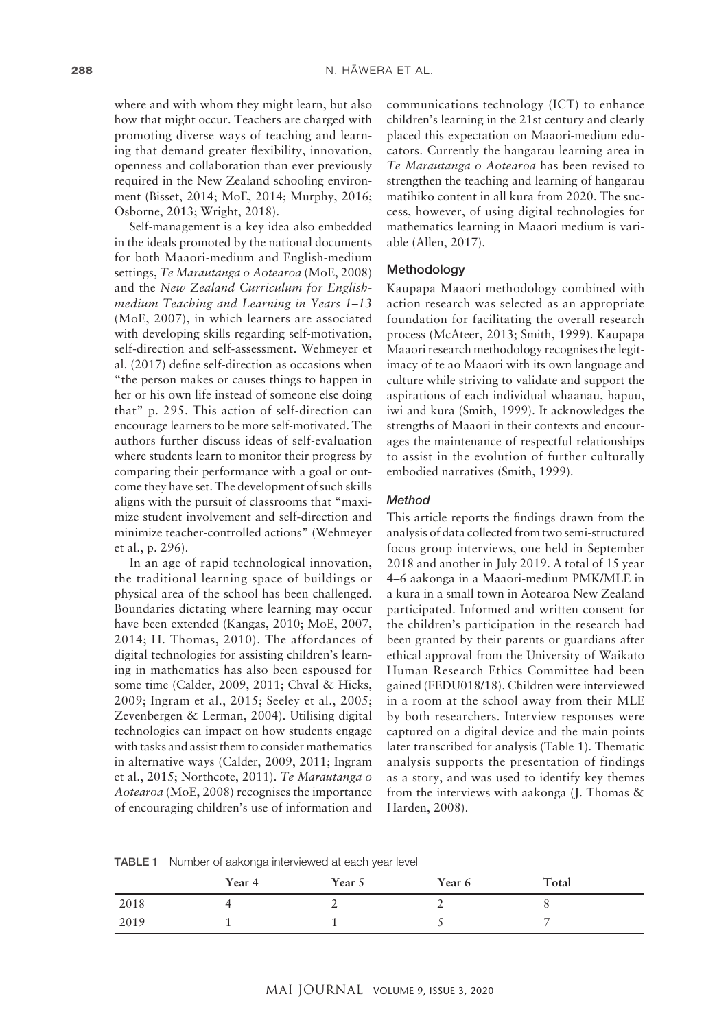where and with whom they might learn, but also how that might occur. Teachers are charged with promoting diverse ways of teaching and learning that demand greater flexibility, innovation, openness and collaboration than ever previously required in the New Zealand schooling environment (Bisset, 2014; MoE, 2014; Murphy, 2016; Osborne, 2013; Wright, 2018).

Self-management is a key idea also embedded in the ideals promoted by the national documents for both Maaori-medium and English-medium settings, *Te Marautanga o Aotearoa* (MoE, 2008) and the *New Zealand Curriculum for Englishmedium Teaching and Learning in Years 1–13* (MoE, 2007), in which learners are associated with developing skills regarding self-motivation, self-direction and self-assessment. Wehmeyer et al. (2017) define self-direction as occasions when "the person makes or causes things to happen in her or his own life instead of someone else doing that" p. 295. This action of self-direction can encourage learners to be more self-motivated. The authors further discuss ideas of self-evaluation where students learn to monitor their progress by comparing their performance with a goal or outcome they have set. The development of such skills aligns with the pursuit of classrooms that "maximize student involvement and self-direction and minimize teacher-controlled actions" (Wehmeyer et al., p. 296).

In an age of rapid technological innovation, the traditional learning space of buildings or physical area of the school has been challenged. Boundaries dictating where learning may occur have been extended (Kangas, 2010; MoE, 2007, 2014; H. Thomas, 2010). The affordances of digital technologies for assisting children's learning in mathematics has also been espoused for some time (Calder, 2009, 2011; Chval & Hicks, 2009; Ingram et al., 2015; Seeley et al., 2005; Zevenbergen & Lerman, 2004). Utilising digital technologies can impact on how students engage with tasks and assist them to consider mathematics in alternative ways (Calder, 2009, 2011; Ingram et al., 2015; Northcote, 2011). *Te Marautanga o Aotearoa* (MoE, 2008) recognises the importance of encouraging children's use of information and

communications technology (ICT) to enhance children's learning in the 21st century and clearly placed this expectation on Maaori-medium educators. Currently the hangarau learning area in *Te Marautanga o Aotearoa* has been revised to strengthen the teaching and learning of hangarau matihiko content in all kura from 2020. The success, however, of using digital technologies for mathematics learning in Maaori medium is variable (Allen, 2017).

#### Methodology

Kaupapa Maaori methodology combined with action research was selected as an appropriate foundation for facilitating the overall research process (McAteer, 2013; Smith, 1999). Kaupapa Maaori research methodology recognises the legitimacy of te ao Maaori with its own language and culture while striving to validate and support the aspirations of each individual whaanau, hapuu, iwi and kura (Smith, 1999). It acknowledges the strengths of Maaori in their contexts and encourages the maintenance of respectful relationships to assist in the evolution of further culturally embodied narratives (Smith, 1999).

## *Method*

This article reports the findings drawn from the analysis of data collected from two semi-structured focus group interviews, one held in September 2018 and another in July 2019. A total of 15 year 4–6 aakonga in a Maaori-medium PMK/MLE in a kura in a small town in Aotearoa New Zealand participated. Informed and written consent for the children's participation in the research had been granted by their parents or guardians after ethical approval from the University of Waikato Human Research Ethics Committee had been gained (FEDU018/18). Children were interviewed in a room at the school away from their MLE by both researchers. Interview responses were captured on a digital device and the main points later transcribed for analysis (Table 1). Thematic analysis supports the presentation of findings as a story, and was used to identify key themes from the interviews with aakonga (J. Thomas & Harden, 2008).

TABLE 1 Number of aakonga interviewed at each year level

|      | Year 4 | Year 5 | Year 6 | Total                    |
|------|--------|--------|--------|--------------------------|
| 2018 |        |        |        |                          |
| 2019 |        |        |        | $\overline{\phantom{0}}$ |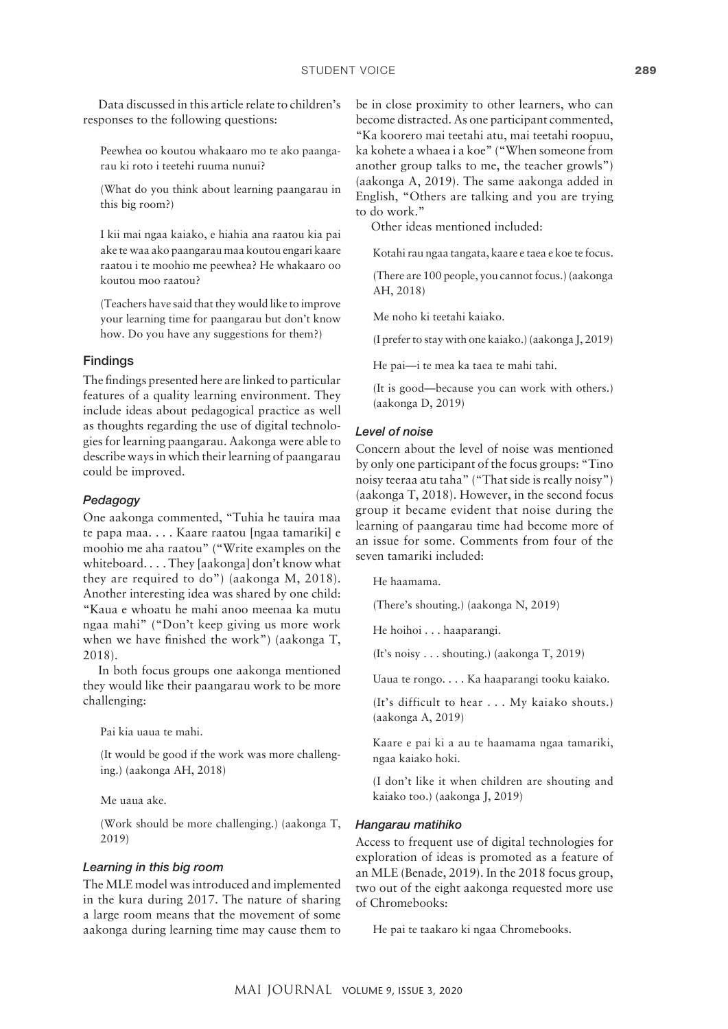Data discussed in this article relate to children's responses to the following questions:

Peewhea oo koutou whakaaro mo te ako paangarau ki roto i teetehi ruuma nunui?

(What do you think about learning paangarau in this big room?)

I kii mai ngaa kaiako, e hiahia ana raatou kia pai ake te waa ako paangarau maa koutou engari kaare raatou i te moohio me peewhea? He whakaaro oo koutou moo raatou?

(Teachers have said that they would like to improve your learning time for paangarau but don't know how. Do you have any suggestions for them?)

#### Findings

The findings presented here are linked to particular features of a quality learning environment. They include ideas about pedagogical practice as well as thoughts regarding the use of digital technologies for learning paangarau. Aakonga were able to describe ways in which their learning of paangarau could be improved.

## *Pedagogy*

One aakonga commented, "Tuhia he tauira maa te papa maa. . . . Kaare raatou [ngaa tamariki] e moohio me aha raatou" ("Write examples on the whiteboard. . . . They [aakonga] don't know what they are required to do") (aakonga M, 2018). Another interesting idea was shared by one child: "Kaua e whoatu he mahi anoo meenaa ka mutu ngaa mahi" ("Don't keep giving us more work when we have finished the work") (aakonga T, 2018).

In both focus groups one aakonga mentioned they would like their paangarau work to be more challenging:

Pai kia uaua te mahi.

(It would be good if the work was more challenging.) (aakonga AH, 2018)

Me uaua ake.

(Work should be more challenging.) (aakonga T, 2019)

#### *Learning in this big room*

The MLE model was introduced and implemented in the kura during 2017. The nature of sharing a large room means that the movement of some aakonga during learning time may cause them to

be in close proximity to other learners, who can become distracted. As one participant commented, "Ka koorero mai teetahi atu, mai teetahi roopuu, ka kohete a whaea i a koe" ("When someone from another group talks to me, the teacher growls") (aakonga A, 2019). The same aakonga added in English, "Others are talking and you are trying to do work."

Other ideas mentioned included:

Kotahi rau ngaa tangata, kaare e taea e koe te focus.

(There are 100 people, you cannot focus.) (aakonga AH, 2018)

Me noho ki teetahi kaiako.

(I prefer to stay with one kaiako.) (aakonga J, 2019)

He pai—i te mea ka taea te mahi tahi.

(It is good—because you can work with others.) (aakonga D, 2019)

#### *Level of noise*

Concern about the level of noise was mentioned by only one participant of the focus groups: "Tino noisy teeraa atu taha" ("That side is really noisy") (aakonga T, 2018). However, in the second focus group it became evident that noise during the learning of paangarau time had become more of an issue for some. Comments from four of the seven tamariki included:

He haamama.

(There's shouting.) (aakonga N, 2019)

He hoihoi . . . haaparangi.

(It's noisy . . . shouting.) (aakonga T, 2019)

Uaua te rongo. . . . Ka haaparangi tooku kaiako.

(It's difficult to hear . . . My kaiako shouts.) (aakonga A, 2019)

Kaare e pai ki a au te haamama ngaa tamariki, ngaa kaiako hoki.

(I don't like it when children are shouting and kaiako too.) (aakonga J, 2019)

#### *Hangarau matihiko*

Access to frequent use of digital technologies for exploration of ideas is promoted as a feature of an MLE (Benade, 2019). In the 2018 focus group, two out of the eight aakonga requested more use of Chromebooks:

He pai te taakaro ki ngaa Chromebooks.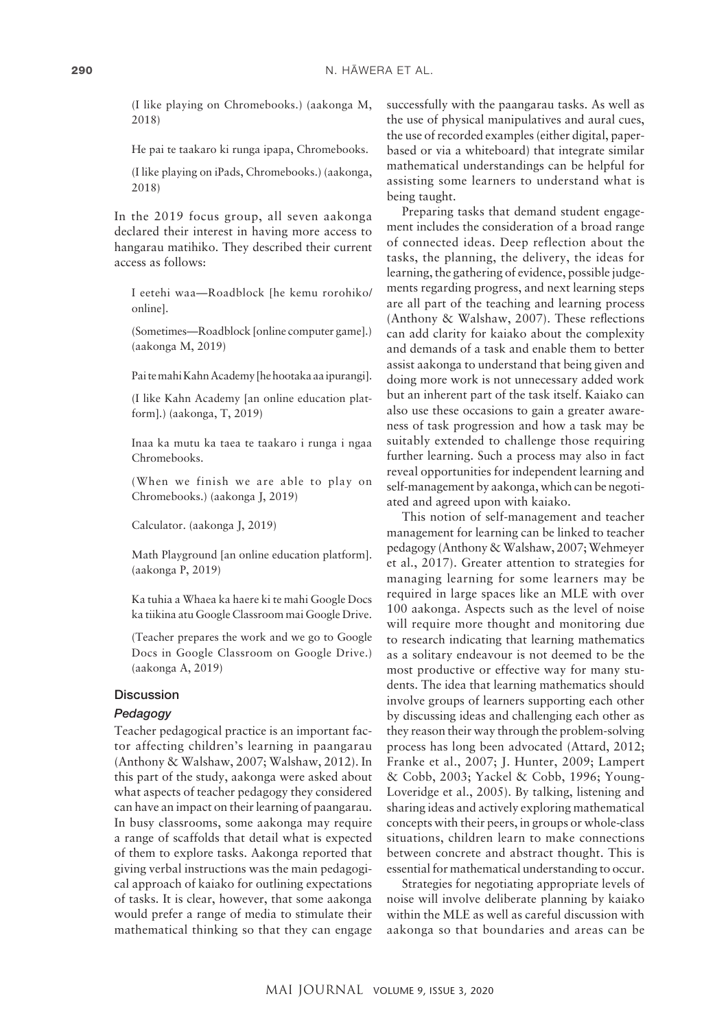(I like playing on Chromebooks.) (aakonga M, 2018)

He pai te taakaro ki runga ipapa, Chromebooks.

(I like playing on iPads, Chromebooks.) (aakonga, 2018)

In the 2019 focus group, all seven aakonga declared their interest in having more access to hangarau matihiko. They described their current access as follows:

I eetehi waa—Roadblock [he kemu rorohiko/ online].

(Sometimes—Roadblock [online computer game].) (aakonga M, 2019)

Pai te mahi Kahn Academy [he hootaka aa ipurangi].

(I like Kahn Academy [an online education platform].) (aakonga, T, 2019)

Inaa ka mutu ka taea te taakaro i runga i ngaa Chromebooks.

(When we finish we are able to play on Chromebooks.) (aakonga J, 2019)

Calculator. (aakonga J, 2019)

Math Playground [an online education platform]. (aakonga P, 2019)

Ka tuhia a Whaea ka haere ki te mahi Google Docs ka tiikina atu Google Classroom mai Google Drive.

(Teacher prepares the work and we go to Google Docs in Google Classroom on Google Drive.) (aakonga A, 2019)

## **Discussion**

## *Pedagogy*

Teacher pedagogical practice is an important factor affecting children's learning in paangarau (Anthony & Walshaw, 2007; Walshaw, 2012). In this part of the study, aakonga were asked about what aspects of teacher pedagogy they considered can have an impact on their learning of paangarau. In busy classrooms, some aakonga may require a range of scaffolds that detail what is expected of them to explore tasks. Aakonga reported that giving verbal instructions was the main pedagogical approach of kaiako for outlining expectations of tasks. It is clear, however, that some aakonga would prefer a range of media to stimulate their mathematical thinking so that they can engage

successfully with the paangarau tasks. As well as the use of physical manipulatives and aural cues, the use of recorded examples (either digital, paperbased or via a whiteboard) that integrate similar mathematical understandings can be helpful for assisting some learners to understand what is being taught.

Preparing tasks that demand student engagement includes the consideration of a broad range of connected ideas. Deep reflection about the tasks, the planning, the delivery, the ideas for learning, the gathering of evidence, possible judgements regarding progress, and next learning steps are all part of the teaching and learning process (Anthony & Walshaw, 2007). These reflections can add clarity for kaiako about the complexity and demands of a task and enable them to better assist aakonga to understand that being given and doing more work is not unnecessary added work but an inherent part of the task itself. Kaiako can also use these occasions to gain a greater awareness of task progression and how a task may be suitably extended to challenge those requiring further learning. Such a process may also in fact reveal opportunities for independent learning and self-management by aakonga, which can be negotiated and agreed upon with kaiako.

This notion of self-management and teacher management for learning can be linked to teacher pedagogy (Anthony & Walshaw, 2007; Wehmeyer et al., 2017). Greater attention to strategies for managing learning for some learners may be required in large spaces like an MLE with over 100 aakonga. Aspects such as the level of noise will require more thought and monitoring due to research indicating that learning mathematics as a solitary endeavour is not deemed to be the most productive or effective way for many students. The idea that learning mathematics should involve groups of learners supporting each other by discussing ideas and challenging each other as they reason their way through the problem-solving process has long been advocated (Attard, 2012; Franke et al., 2007; J. Hunter, 2009; Lampert & Cobb, 2003; Yackel & Cobb, 1996; Young-Loveridge et al., 2005). By talking, listening and sharing ideas and actively exploring mathematical concepts with their peers, in groups or whole-class situations, children learn to make connections between concrete and abstract thought. This is essential for mathematical understanding to occur.

Strategies for negotiating appropriate levels of noise will involve deliberate planning by kaiako within the MLE as well as careful discussion with aakonga so that boundaries and areas can be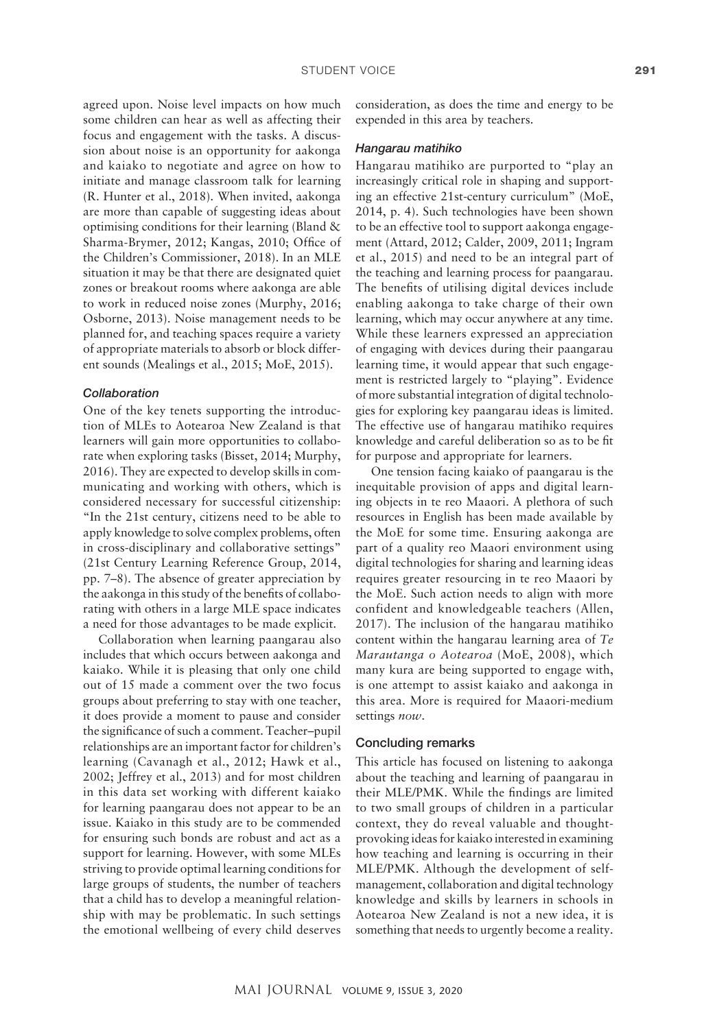agreed upon. Noise level impacts on how much some children can hear as well as affecting their focus and engagement with the tasks. A discussion about noise is an opportunity for aakonga and kaiako to negotiate and agree on how to initiate and manage classroom talk for learning (R. Hunter et al., 2018). When invited, aakonga are more than capable of suggesting ideas about optimising conditions for their learning (Bland & Sharma-Brymer, 2012; Kangas, 2010; Office of the Children's Commissioner, 2018). In an MLE situation it may be that there are designated quiet zones or breakout rooms where aakonga are able to work in reduced noise zones (Murphy, 2016; Osborne, 2013). Noise management needs to be planned for, and teaching spaces require a variety of appropriate materials to absorb or block different sounds (Mealings et al., 2015; MoE, 2015).

## *Collaboration*

One of the key tenets supporting the introduction of MLEs to Aotearoa New Zealand is that learners will gain more opportunities to collaborate when exploring tasks (Bisset, 2014; Murphy, 2016). They are expected to develop skills in communicating and working with others, which is considered necessary for successful citizenship: "In the 21st century, citizens need to be able to apply knowledge to solve complex problems, often in cross-disciplinary and collaborative settings" (21st Century Learning Reference Group, 2014, pp. 7–8). The absence of greater appreciation by the aakonga in this study of the benefits of collaborating with others in a large MLE space indicates a need for those advantages to be made explicit.

Collaboration when learning paangarau also includes that which occurs between aakonga and kaiako. While it is pleasing that only one child out of 15 made a comment over the two focus groups about preferring to stay with one teacher, it does provide a moment to pause and consider the significance of such a comment. Teacher–pupil relationships are an important factor for children's learning (Cavanagh et al., 2012; Hawk et al., 2002; Jeffrey et al., 2013) and for most children in this data set working with different kaiako for learning paangarau does not appear to be an issue. Kaiako in this study are to be commended for ensuring such bonds are robust and act as a support for learning. However, with some MLEs striving to provide optimal learning conditions for large groups of students, the number of teachers that a child has to develop a meaningful relationship with may be problematic. In such settings the emotional wellbeing of every child deserves consideration, as does the time and energy to be expended in this area by teachers.

#### *Hangarau matihiko*

Hangarau matihiko are purported to "play an increasingly critical role in shaping and supporting an effective 21st-century curriculum" (MoE, 2014, p. 4). Such technologies have been shown to be an effective tool to support aakonga engagement (Attard, 2012; Calder, 2009, 2011; Ingram et al., 2015) and need to be an integral part of the teaching and learning process for paangarau. The benefits of utilising digital devices include enabling aakonga to take charge of their own learning, which may occur anywhere at any time. While these learners expressed an appreciation of engaging with devices during their paangarau learning time, it would appear that such engagement is restricted largely to "playing". Evidence of more substantial integration of digital technologies for exploring key paangarau ideas is limited. The effective use of hangarau matihiko requires knowledge and careful deliberation so as to be fit for purpose and appropriate for learners.

One tension facing kaiako of paangarau is the inequitable provision of apps and digital learning objects in te reo Maaori. A plethora of such resources in English has been made available by the MoE for some time. Ensuring aakonga are part of a quality reo Maaori environment using digital technologies for sharing and learning ideas requires greater resourcing in te reo Maaori by the MoE. Such action needs to align with more confident and knowledgeable teachers (Allen, 2017). The inclusion of the hangarau matihiko content within the hangarau learning area of *Te Marautanga o Aotearoa* (MoE, 2008), which many kura are being supported to engage with, is one attempt to assist kaiako and aakonga in this area. More is required for Maaori-medium settings *now*.

#### Concluding remarks

This article has focused on listening to aakonga about the teaching and learning of paangarau in their MLE/PMK. While the findings are limited to two small groups of children in a particular context, they do reveal valuable and thoughtprovoking ideas for kaiako interested in examining how teaching and learning is occurring in their MLE/PMK. Although the development of selfmanagement, collaboration and digital technology knowledge and skills by learners in schools in Aotearoa New Zealand is not a new idea, it is something that needs to urgently become a reality.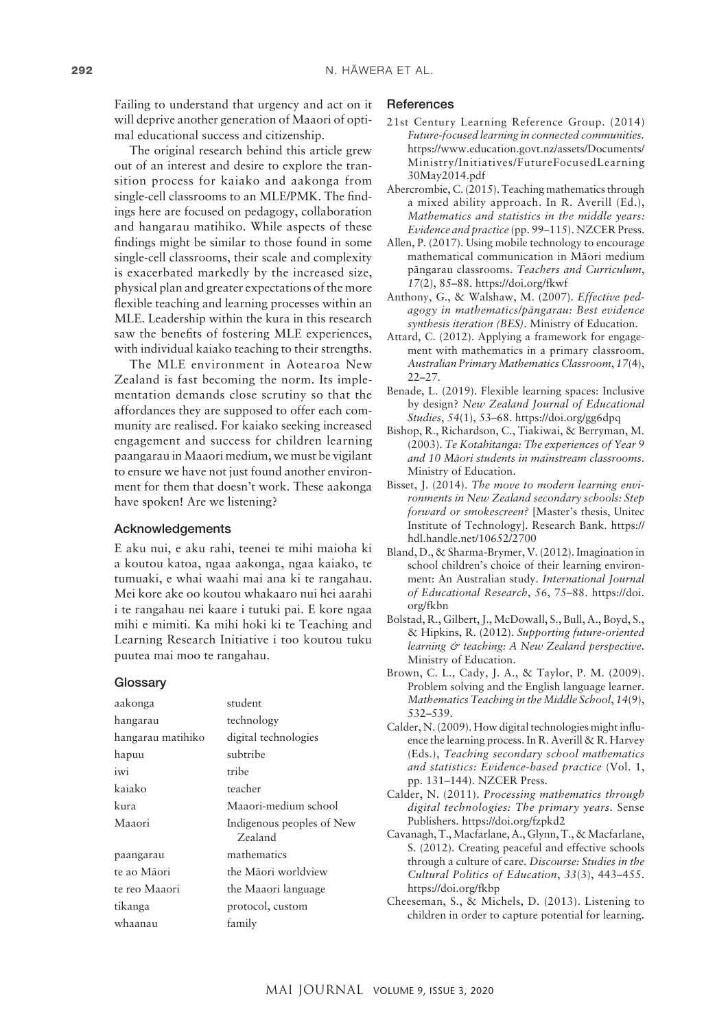Failing to understand that urgency and act on it will deprive another generation of Maaori of optimal educational success and citizenship.

The original research behind this article grew out of an interest and desire to explore the transition process for kaiako and aakonga from single-cell classrooms to an MLE/PMK. The findings here are focused on pedagogy, collaboration and hangarau matihiko. While aspects of these findings might be similar to those found in some single-cell classrooms, their scale and complexity is exacerbated markedly by the increased size, physical plan and greater expectations of the more flexible teaching and learning processes within an MLE. Leadership within the kura in this research saw the benefits of fostering MLE experiences, with individual kaiako teaching to their strengths.

The MLE environment in Aotearoa New Zealand is fast becoming the norm. Its implementation demands close scrutiny so that the affordances they are supposed to offer each community are realised. For kaiako seeking increased engagement and success for children learning paangarau in Maaori medium, we must be vigilant to ensure we have not just found another environment for them that doesn't work. These aakonga have spoken! Are we listening?

#### Acknowledgements

E aku nui, e aku rahi, teenei te mihi maioha ki a koutou katoa, ngaa aakonga, ngaa kaiako, te tumuaki, e whai waahi mai ana ki te rangahau. Mei kore ake oo koutou whakaaro nui hei aarahi i te rangahau nei kaare i tutuki pai. E kore ngaa mihi e mimiti. Ka mihi hoki ki te Teaching and Learning Research Initiative i too koutou tuku puutea mai moo te rangahau.

#### **Glossary**

| aakonga           | student                              |  |  |
|-------------------|--------------------------------------|--|--|
| hangarau          | technology                           |  |  |
| hangarau matihiko | digital technologies                 |  |  |
| hapuu             | subtribe                             |  |  |
| iwi               | tribe                                |  |  |
| kaiako            | teacher                              |  |  |
| kura              | Maaori-medium school                 |  |  |
| Maaori            | Indigenous peoples of New<br>Zealand |  |  |
| paangarau         | mathematics                          |  |  |
| te ao Māori       | the Māori worldview                  |  |  |
| te reo Maaori     | the Maaori language                  |  |  |
| tikanga           | protocol, custom                     |  |  |
| whaanau           | family                               |  |  |
|                   |                                      |  |  |

## **References**

- 21st Century Learning Reference Group. (2014) *Future-focused learning in connected communities.*  [https://www.education.govt.nz/assets/Documents/](https://www.education.govt.nz/assets/Documents/Ministry/Initiatives/FutureFocusedLearning30May2014.pdf) [Ministry/Initiatives/FutureFocusedLearning](https://www.education.govt.nz/assets/Documents/Ministry/Initiatives/FutureFocusedLearning30May2014.pdf) [30May2014.pdf](https://www.education.govt.nz/assets/Documents/Ministry/Initiatives/FutureFocusedLearning30May2014.pdf)
- Abercrombie, C. (2015). Teaching mathematics through a mixed ability approach. In R. Averill (Ed.), *Mathematics and statistics in the middle years: Evidence and practice* (pp. 99–115). NZCER Press.
- Allen, P. (2017). Using mobile technology to encourage mathematical communication in Mäori medium pängarau classrooms. *Teachers and Curriculum*, *17*(2), 85–88. <https://doi.org/fkwf>
- Anthony, G., & Walshaw, M. (2007). *Effective pedagogy in mathematics/pängarau: Best evidence synthesis iteration (BES)*. Ministry of Education.
- Attard, C. (2012). Applying a framework for engagement with mathematics in a primary classroom. *Australian Primary Mathematics Classroom*, *17*(4), 22–27.
- Benade, L. (2019). Flexible learning spaces: Inclusive by design? *New Zealand Journal of Educational Studies*, *54*(1), 53–68.<https://doi.org/gg6dpq>
- Bishop, R., Richardson, C., Tiakiwai, & Berryman, M. (2003). *[Te Kotahitanga: The experiences of Year 9](http://www.educationcounts.govt.nz/publications/maori_education/english-medium-education/9977/5375) [and 10 Mäori students in mainstream classrooms](http://www.educationcounts.govt.nz/publications/maori_education/english-medium-education/9977/5375)*. Ministry of Education.
- Bisset, J. (2014). *The move to modern learning environments in New Zealand secondary schools: Step forward or smokescreen?* [Master's thesis, Unitec Institute of Technology]. Research Bank. [https://](https://hdl.handle.net/10652/2700) [hdl.handle.net/10652/2700](https://hdl.handle.net/10652/2700)
- Bland, D., & Sharma-Brymer, V. (2012). Imagination in school children's choice of their learning environment: An Australian study. *International Journal of Educational Research*, *56*, 75–88. [https://doi.](https://doi.org/fkbn) [org/fkbn](https://doi.org/fkbn)
- Bolstad, R., Gilbert, J., McDowall, S., Bull, A., Boyd, S., & Hipkins, R. (2012). *Supporting future-oriented learning & teaching: A New Zealand perspective*. Ministry of Education.
- Brown, C. L., Cady, J. A., & Taylor, P. M. (2009). Problem solving and the English language learner. *Mathematics Teaching in the Middle School*, *14*(9), 532–539.
- Calder, N. (2009). How digital technologies might influence the learning process. In R. Averill & R. Harvey (Eds.), *Teaching secondary school mathematics and statistics: Evidence-based practice* (Vol. 1, pp. 131–144). NZCER Press.
- Calder, N. (2011). *Processing mathematics through digital technologies: The primary years*. Sense Publishers. <https://doi.org/fzpkd2>
- Cavanagh, T., Macfarlane, A., Glynn, T., & Macfarlane, S. (2012). Creating peaceful and effective schools through a culture of care. *Discourse: Studies in the Cultural Politics of Education*, *33*(3), 443–455. <https://doi.org/fkbp>
- Cheeseman, S., & Michels, D. (2013). Listening to children in order to capture potential for learning.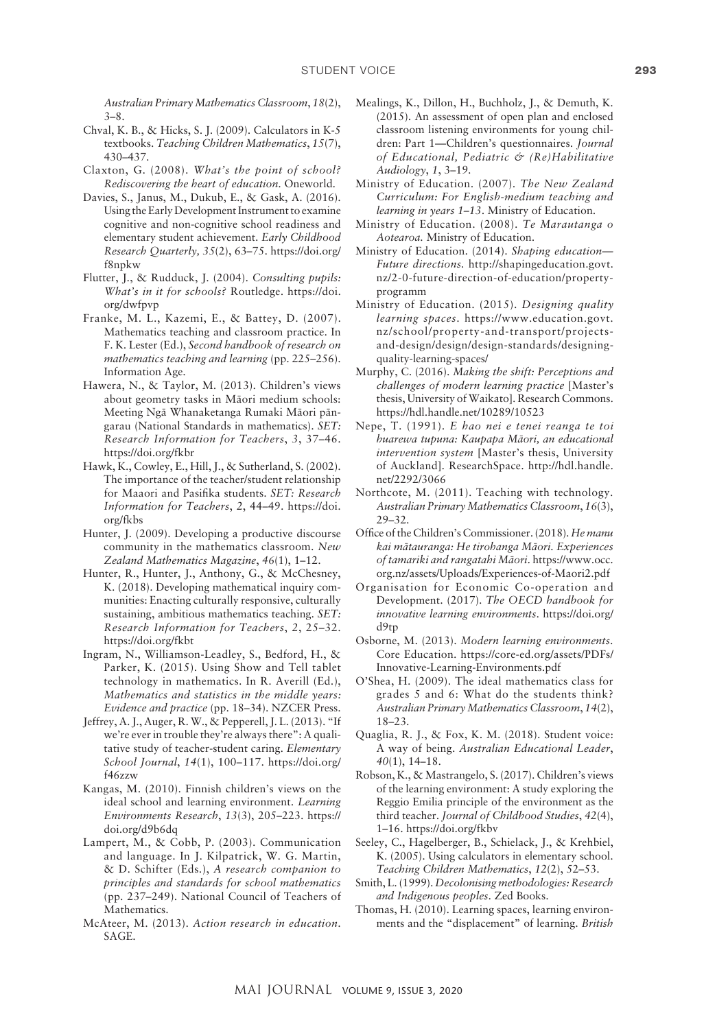*Australian Primary Mathematics Classroom*, *18*(2), 3–8.

- Chval, K. B., & Hicks, S. J. (2009). Calculators in K-5 textbooks. *Teaching Children Mathematics*, *15*(7), 430–437.
- Claxton, G. (2008). *What's the point of school? Rediscovering the heart of education*. Oneworld.
- Davies, S., Janus, M., Dukub, E., & Gask, A. (2016). Using the Early Development Instrument to examine cognitive and non-cognitive school readiness and elementary student achievement. *Early Childhood Research Quarterly, 35*(2), 63–75. [https://doi.org/](https://doi.org/f8npkw) [f8npkw](https://doi.org/f8npkw)
- Flutter, J., & Rudduck, J. (2004). *Consulting pupils: What's in it for schools?* Routledge. [https://doi.](https://doi.org/dwfpvp) [org/dwfpvp](https://doi.org/dwfpvp)
- Franke, M. L., Kazemi, E., & Battey, D. (2007). Mathematics teaching and classroom practice. In F. K. Lester (Ed.), *Second handbook of research on mathematics teaching and learning* (pp. 225–256). Information Age.
- Hawera, N., & Taylor, M. (2013). Children's views about geometry tasks in Mäori medium schools: Meeting Ngä Whanaketanga Rumaki Mäori pängarau (National Standards in mathematics). *SET: Research Information for Teachers*, *3*, 37–46. <https://doi.org/fkbr>
- Hawk, K., Cowley, E., Hill, J., & Sutherland, S. (2002). The importance of the teacher/student relationship for Maaori and Pasifika students. *SET: Research Information for Teachers*, *2*, 44–49. [https://doi.](https://doi.org/fkbs) [org/fkbs](https://doi.org/fkbs)
- Hunter, J. (2009). Developing a productive discourse community in the mathematics classroom. *New Zealand Mathematics Magazine*, *46*(1), 1–12.
- Hunter, R., Hunter, J., Anthony, G., & McChesney, K. (2018). Developing mathematical inquiry communities: Enacting culturally responsive, culturally sustaining, ambitious mathematics teaching. *SET: Research Information for Teachers*, *2*, 25–32. <https://doi.org/fkbt>
- Ingram, N., Williamson-Leadley, S., Bedford, H., & Parker, K. (2015). Using Show and Tell tablet technology in mathematics. In R. Averill (Ed.), *Mathematics and statistics in the middle years: Evidence and practice* (pp. 18–34). NZCER Press.
- Jeffrey, A. J., Auger, R. W., & Pepperell, J. L. (2013). "If we're ever in trouble they're always there": A qualitative study of teacher-student caring. *Elementary School Journal*, *14*(1), 100–117. [https://doi.org/](https://doi.org/f46zzw) [f46zzw](https://doi.org/f46zzw)
- Kangas, M. (2010). Finnish children's views on the ideal school and learning environment. *Learning Environments Research*, *13*(3), 205–223. [https://](https://doi.org/d9b6dq) [doi.org/d9b6dq](https://doi.org/d9b6dq)
- Lampert, M., & Cobb, P. (2003). Communication and language. In J. Kilpatrick, W. G. Martin, & D. Schifter (Eds.), *A research companion to principles and standards for school mathematics*  (pp. 237–249). National Council of Teachers of **Mathematics**
- McAteer, M. (2013). *Action research in education*. SAGE.
- Mealings, K., Dillon, H., Buchholz, J., & Demuth, K. (2015). An assessment of open plan and enclosed classroom listening environments for young children: Part 1—Children's questionnaires. *Journal of Educational, Pediatric & (Re)Habilitative Audiology*, *1*, 3–19.
- Ministry of Education. (2007). *The New Zealand Curriculum: For English-medium teaching and learning in years 1–13*. Ministry of Education.
- Ministry of Education. (2008). *Te Marautanga o Aotearoa.* Ministry of Education.
- Ministry of Education. (2014). *Shaping education— Future directions.* [http://shapingeducation.govt.](http://shapingeducation.govt.nz/2-0-future-direction-of-education/property-programme) [nz/2-0-future-direction-of-education/property](http://shapingeducation.govt.nz/2-0-future-direction-of-education/property-programme)[programm](http://shapingeducation.govt.nz/2-0-future-direction-of-education/property-programme)
- Ministry of Education. (2015). *Designing quality learning spaces*. [https://www.education.govt.](https://www.education.govt.nz/school/property-and-transport/projects-and-design/design/design-standards/designing-quality-learning-spaces/) [nz/school/property-and-transport/projects](https://www.education.govt.nz/school/property-and-transport/projects-and-design/design/design-standards/designing-quality-learning-spaces/)[and-design/design/design-standards/designing](https://www.education.govt.nz/school/property-and-transport/projects-and-design/design/design-standards/designing-quality-learning-spaces/)[quality-learning-spaces/](https://www.education.govt.nz/school/property-and-transport/projects-and-design/design/design-standards/designing-quality-learning-spaces/)
- Murphy, C. (2016). *Making the shift: Perceptions and challenges of modern learning practice* [Master's thesis, University of Waikato]. Research Commons. https://hdl.handle.net/10289/10523
- Nepe, T. (1991). *E hao nei e tenei reanga te toi huarewa tupuna: Kaupapa Mäori, an educational intervention system* [Master's thesis, University of Auckland]. ResearchSpace. [http://hdl.handle.](http://hdl.handle.net/2292/3066) [net/2292/3066](http://hdl.handle.net/2292/3066)
- Northcote, M. (2011). Teaching with technology. *Australian Primary Mathematics Classroom*, *16*(3), 29–32.
- Office of the Children's Commissioner. (2018). *He manu kai mätauranga: He tirohanga Mäori. Experiences of tamariki and rangatahi Mäori*. [https://www.occ.](https://www.occ.org.nz/assets/Uploads/Experiences-of-Maori2.pdf) [org.nz/assets/Uploads/Experiences-of-Maori2.pdf](https://www.occ.org.nz/assets/Uploads/Experiences-of-Maori2.pdf)
- Organisation for Economic Co-operation and Development. (2017). *The OECD handbook for innovative learning environments*. [https://doi.org/](https://doi.org/d9tp) [d9tp](https://doi.org/d9tp)
- Osborne, M. (2013). *Modern learning environments*. Core Education. [https://core-ed.org/assets/PDFs/](https://core-ed.org/assets/PDFs/Innovative-Learning-Environments.pdf) [Innovative-Learning-Environments.pdf](https://core-ed.org/assets/PDFs/Innovative-Learning-Environments.pdf)
- O'Shea, H. (2009). The ideal mathematics class for grades 5 and 6: What do the students think? *Australian Primary Mathematics Classroom*, *14*(2), 18–23.
- Quaglia, R. J., & Fox, K. M. (2018). Student voice: A way of being. *Australian Educational Leader*, *40*(1), 14–18.
- Robson, K., & Mastrangelo, S. (2017). Children's views of the learning environment: A study exploring the Reggio Emilia principle of the environment as the third teacher. *Journal of Childhood Studies*, *42*(4), 1–16.<https://doi.org/fkbv>
- Seeley, C., Hagelberger, B., Schielack, J., & Krehbiel, K. (2005). Using calculators in elementary school. *Teaching Children Mathematics*, *12*(2), 52–53.
- Smith, L. (1999). *Decolonising methodologies: Research and Indigenous peoples*. Zed Books.
- Thomas, H. (2010). Learning spaces, learning environments and the "displacement" of learning. *British*